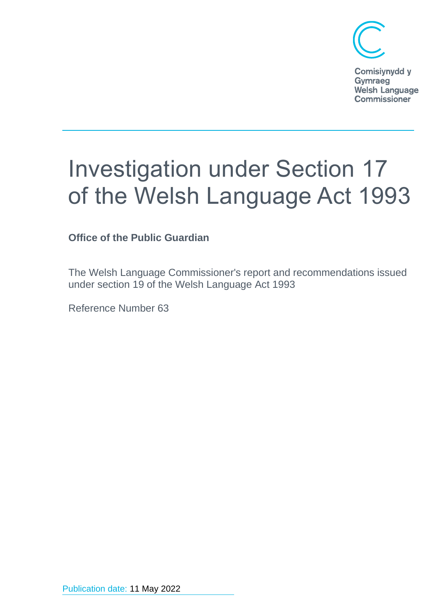

Comisiynydd y Gymraeg **Welsh Language Commissioner** 

# Investigation under Section 17 of the Welsh Language Act 1993

**Office of the Public Guardian**

The Welsh Language Commissioner's report and recommendations issued under section 19 of the Welsh Language Act 1993

Reference Number 63

Publication date: 11 May 2022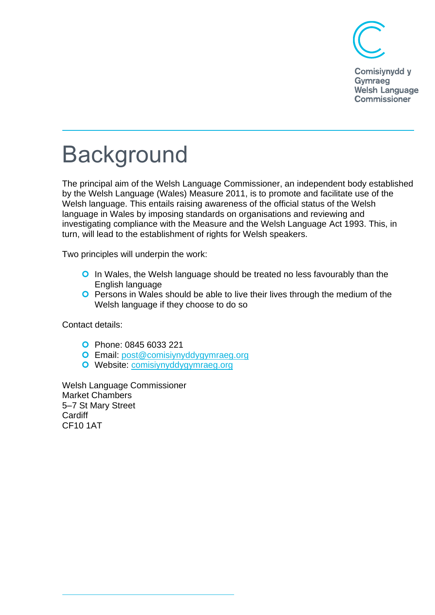

Comisiynydd y Gymraeg **Welsh Language Commissioner** 

## Background

The principal aim of the Welsh Language Commissioner, an independent body established by the Welsh Language (Wales) Measure 2011, is to promote and facilitate use of the Welsh language. This entails raising awareness of the official status of the Welsh language in Wales by imposing standards on organisations and reviewing and investigating compliance with the Measure and the Welsh Language Act 1993. This, in turn, will lead to the establishment of rights for Welsh speakers.

Two principles will underpin the work:

- **O** In Wales, the Welsh language should be treated no less favourably than the English language
- **O** Persons in Wales should be able to live their lives through the medium of the Welsh language if they choose to do so

Contact details:

- Phone: 0845 6033 221
- Email: [post@comisiynyddygymraeg.org](mailto:post@comisiynyddygymraeg.org)
- Website: [comisiynyddygymraeg.org](http://www.comisiynyddygymraeg.org/)

Welsh Language Commissioner Market Chambers 5–7 St Mary Street **Cardiff** CF10 1AT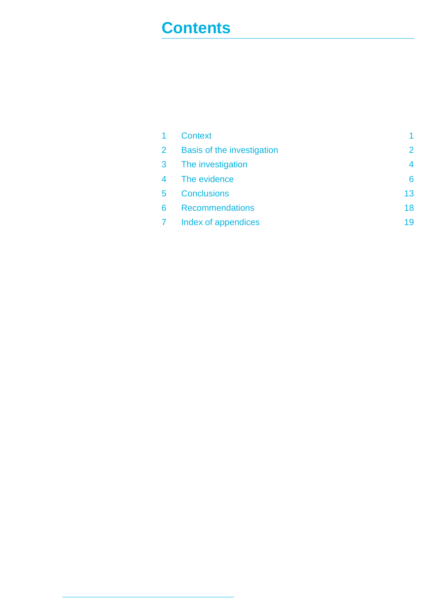### **Contents**

| $\mathbf{1}$   | <b>Context</b>                    | 1              |
|----------------|-----------------------------------|----------------|
| $2^{\circ}$    | <b>Basis of the investigation</b> | $\overline{2}$ |
| 3 <sup>1</sup> | The investigation                 | 4              |
| $\overline{4}$ | The evidence                      | 6              |
| 5              | <b>Conclusions</b>                | 13             |
| 6              | <b>Recommendations</b>            | 18             |
| $7 -$          | Index of appendices               | 19             |
|                |                                   |                |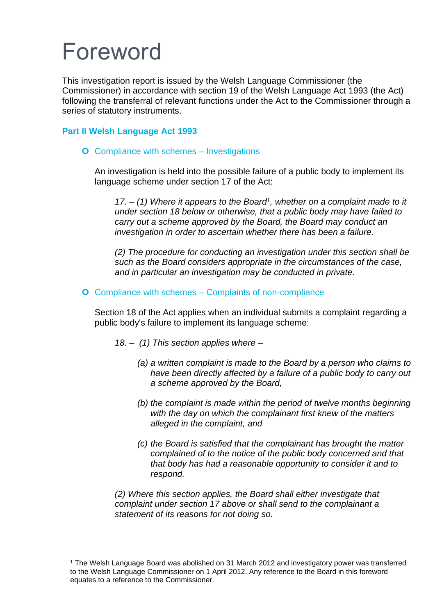## Foreword

This investigation report is issued by the Welsh Language Commissioner (the Commissioner) in accordance with section 19 of the Welsh Language Act 1993 (the Act) following the transferral of relevant functions under the Act to the Commissioner through a series of statutory instruments.

#### **Part II Welsh Language Act 1993**

#### **O** Compliance with schemes – Investigations

An investigation is held into the possible failure of a public body to implement its language scheme under section 17 of the Act:

*17. – (1) Where it appears to the Board<sup>1</sup> , whether on a complaint made to it under section 18 below or otherwise, that a public body may have failed to carry out a scheme approved by the Board, the Board may conduct an investigation in order to ascertain whether there has been a failure.* 

*(2) The procedure for conducting an investigation under this section shall be such as the Board considers appropriate in the circumstances of the case, and in particular an investigation may be conducted in private.* 

#### **O** Compliance with schemes – Complaints of non-compliance

Section 18 of the Act applies when an individual submits a complaint regarding a public body's failure to implement its language scheme:

- *18. (1) This section applies where –*
	- *(a) a written complaint is made to the Board by a person who claims to have been directly affected by a failure of a public body to carry out a scheme approved by the Board,*
	- *(b) the complaint is made within the period of twelve months beginning with the day on which the complainant first knew of the matters alleged in the complaint, and*
	- *(c) the Board is satisfied that the complainant has brought the matter complained of to the notice of the public body concerned and that that body has had a reasonable opportunity to consider it and to respond.*

*(2) Where this section applies, the Board shall either investigate that complaint under section 17 above or shall send to the complainant a statement of its reasons for not doing so.* 

<sup>1</sup> The Welsh Language Board was abolished on 31 March 2012 and investigatory power was transferred to the Welsh Language Commissioner on 1 April 2012. Any reference to the Board in this foreword equates to a reference to the Commissioner.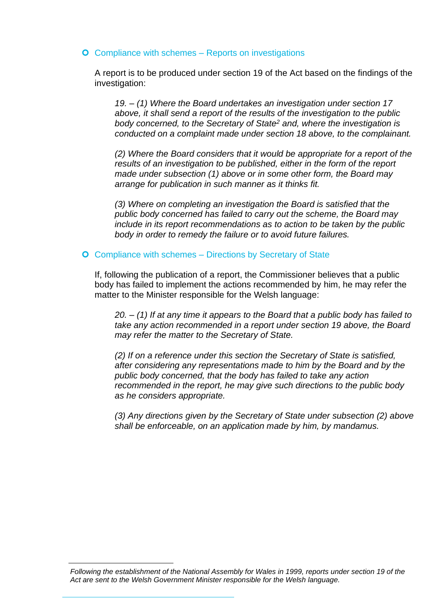#### **O** Compliance with schemes – Reports on investigations

A report is to be produced under section 19 of the Act based on the findings of the investigation:

*19. – (1) Where the Board undertakes an investigation under section 17 above, it shall send a report of the results of the investigation to the public body concerned, to the Secretary of State<sup>2</sup> and, where the investigation is conducted on a complaint made under section 18 above, to the complainant.*

*(2) Where the Board considers that it would be appropriate for a report of the results of an investigation to be published, either in the form of the report made under subsection (1) above or in some other form, the Board may arrange for publication in such manner as it thinks fit.* 

*(3) Where on completing an investigation the Board is satisfied that the public body concerned has failed to carry out the scheme, the Board may include in its report recommendations as to action to be taken by the public body in order to remedy the failure or to avoid future failures.* 

#### **O** Compliance with schemes – Directions by Secretary of State

If, following the publication of a report, the Commissioner believes that a public body has failed to implement the actions recommended by him, he may refer the matter to the Minister responsible for the Welsh language:

*20. – (1) If at any time it appears to the Board that a public body has failed to take any action recommended in a report under section 19 above, the Board may refer the matter to the Secretary of State.*

*(2) If on a reference under this section the Secretary of State is satisfied, after considering any representations made to him by the Board and by the public body concerned, that the body has failed to take any action recommended in the report, he may give such directions to the public body as he considers appropriate.* 

*(3) Any directions given by the Secretary of State under subsection (2) above shall be enforceable, on an application made by him, by mandamus.* 

*Following the establishment of the National Assembly for Wales in 1999, reports under section 19 of the Act are sent to the Welsh Government Minister responsible for the Welsh language.*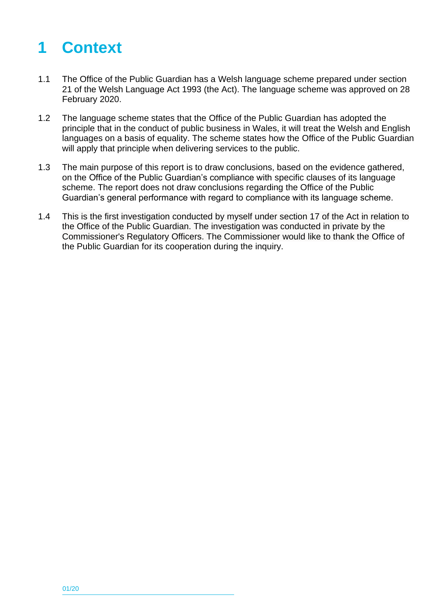### <span id="page-5-0"></span>**1 Context**

- 1.1 The Office of the Public Guardian has a Welsh language scheme prepared under section 21 of the Welsh Language Act 1993 (the Act). The language scheme was approved on 28 February 2020.
- 1.2 The language scheme states that the Office of the Public Guardian has adopted the principle that in the conduct of public business in Wales, it will treat the Welsh and English languages on a basis of equality. The scheme states how the Office of the Public Guardian will apply that principle when delivering services to the public.
- 1.3 The main purpose of this report is to draw conclusions, based on the evidence gathered, on the Office of the Public Guardian's compliance with specific clauses of its language scheme. The report does not draw conclusions regarding the Office of the Public Guardian's general performance with regard to compliance with its language scheme.
- 1.4 This is the first investigation conducted by myself under section 17 of the Act in relation to the Office of the Public Guardian. The investigation was conducted in private by the Commissioner's Regulatory Officers. The Commissioner would like to thank the Office of the Public Guardian for its cooperation during the inquiry.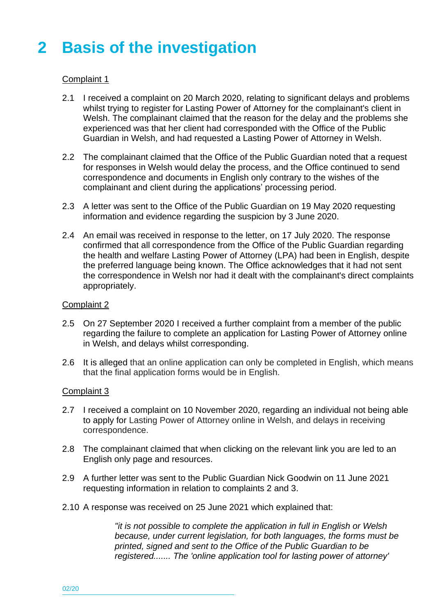### <span id="page-6-0"></span>**2 Basis of the investigation**

#### Complaint 1

- 2.1 I received a complaint on 20 March 2020, relating to significant delays and problems whilst trying to register for Lasting Power of Attorney for the complainant's client in Welsh. The complainant claimed that the reason for the delay and the problems she experienced was that her client had corresponded with the Office of the Public Guardian in Welsh, and had requested a Lasting Power of Attorney in Welsh.
- 2.2 The complainant claimed that the Office of the Public Guardian noted that a request for responses in Welsh would delay the process, and the Office continued to send correspondence and documents in English only contrary to the wishes of the complainant and client during the applications' processing period.
- 2.3 A letter was sent to the Office of the Public Guardian on 19 May 2020 requesting information and evidence regarding the suspicion by 3 June 2020.
- 2.4 An email was received in response to the letter, on 17 July 2020. The response confirmed that all correspondence from the Office of the Public Guardian regarding the health and welfare Lasting Power of Attorney (LPA) had been in English, despite the preferred language being known. The Office acknowledges that it had not sent the correspondence in Welsh nor had it dealt with the complainant's direct complaints appropriately.

#### Complaint 2

- 2.5 On 27 September 2020 I received a further complaint from a member of the public regarding the failure to complete an application for Lasting Power of Attorney online in Welsh, and delays whilst corresponding.
- 2.6 It is alleged that an online application can only be completed in English, which means that the final application forms would be in English.

#### Complaint 3

- 2.7 I received a complaint on 10 November 2020, regarding an individual not being able to apply for Lasting Power of Attorney online in Welsh, and delays in receiving correspondence.
- 2.8 The complainant claimed that when clicking on the relevant link you are led to an English only page and resources.
- 2.9 A further letter was sent to the Public Guardian Nick Goodwin on 11 June 2021 requesting information in relation to complaints 2 and 3.
- 2.10 A response was received on 25 June 2021 which explained that:

*"it is not possible to complete the application in full in English or Welsh because, under current legislation, for both languages, the forms must be printed, signed and sent to the Office of the Public Guardian to be registered....... The 'online application tool for lasting power of attorney'*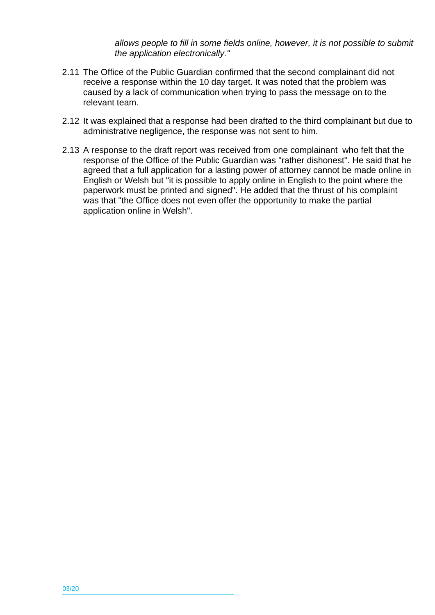*allows people to fill in some fields online, however, it is not possible to submit the application electronically."*

- 2.11 The Office of the Public Guardian confirmed that the second complainant did not receive a response within the 10 day target. It was noted that the problem was caused by a lack of communication when trying to pass the message on to the relevant team.
- 2.12 It was explained that a response had been drafted to the third complainant but due to administrative negligence, the response was not sent to him.
- 2.13 A response to the draft report was received from one complainant who felt that the response of the Office of the Public Guardian was "rather dishonest". He said that he agreed that a full application for a lasting power of attorney cannot be made online in English or Welsh but "it is possible to apply online in English to the point where the paperwork must be printed and signed". He added that the thrust of his complaint was that "the Office does not even offer the opportunity to make the partial application online in Welsh".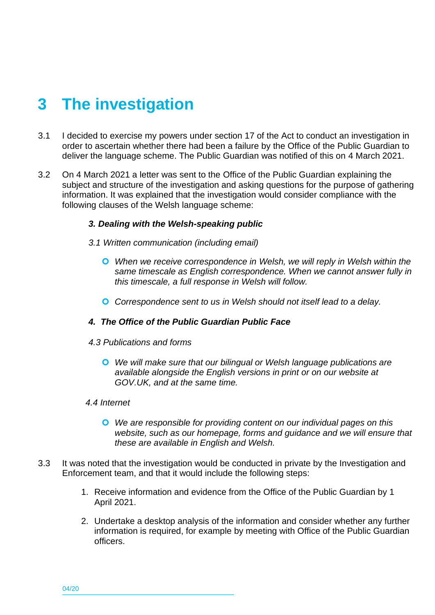### <span id="page-8-0"></span>**3 The investigation**

- 3.1 I decided to exercise my powers under section 17 of the Act to conduct an investigation in order to ascertain whether there had been a failure by the Office of the Public Guardian to deliver the language scheme. The Public Guardian was notified of this on 4 March 2021.
- 3.2 On 4 March 2021 a letter was sent to the Office of the Public Guardian explaining the subject and structure of the investigation and asking questions for the purpose of gathering information. It was explained that the investigation would consider compliance with the following clauses of the Welsh language scheme:

#### *3. Dealing with the Welsh-speaking public*

- *3.1 Written communication (including email)*
	- *When we receive correspondence in Welsh, we will reply in Welsh within the same timescale as English correspondence. When we cannot answer fully in this timescale, a full response in Welsh will follow.*
	- *Correspondence sent to us in Welsh should not itself lead to a delay.*

#### *4. The Office of the Public Guardian Public Face*

#### *4.3 Publications and forms*

 *We will make sure that our bilingual or Welsh language publications are available alongside the English versions in print or on our website at GOV.UK, and at the same time.*

#### *4.4 Internet*

- *We are responsible for providing content on our individual pages on this website, such as our homepage, forms and guidance and we will ensure that these are available in English and Welsh.*
- 3.3 It was noted that the investigation would be conducted in private by the Investigation and Enforcement team, and that it would include the following steps:
	- 1. Receive information and evidence from the Office of the Public Guardian by 1 April 2021.
	- 2. Undertake a desktop analysis of the information and consider whether any further information is required, for example by meeting with Office of the Public Guardian officers.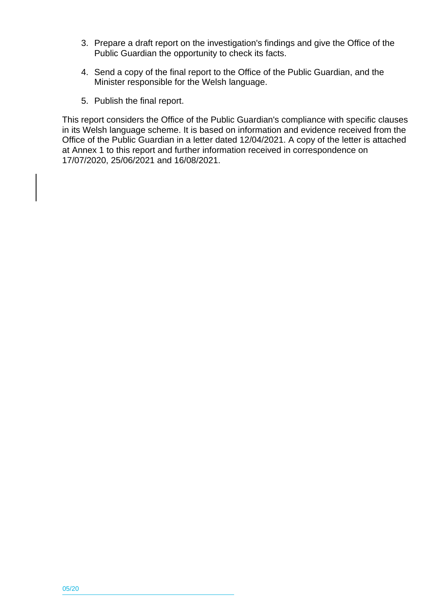- 3. Prepare a draft report on the investigation's findings and give the Office of the Public Guardian the opportunity to check its facts.
- 4. Send a copy of the final report to the Office of the Public Guardian, and the Minister responsible for the Welsh language.
- 5. Publish the final report.

This report considers the Office of the Public Guardian's compliance with specific clauses in its Welsh language scheme. It is based on information and evidence received from the Office of the Public Guardian in a letter dated 12/04/2021. A copy of the letter is attached at Annex 1 to this report and further information received in correspondence on 17/07/2020, 25/06/2021 and 16/08/2021.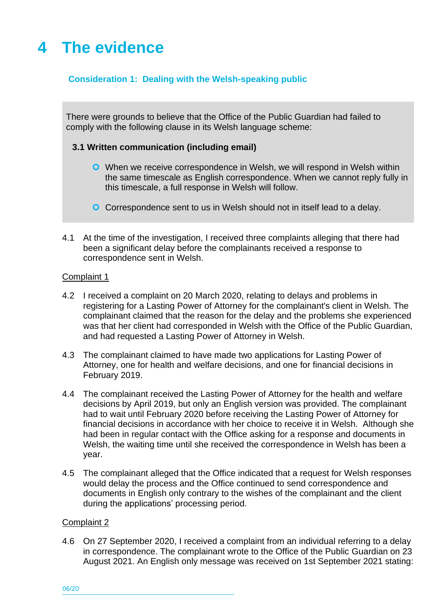### <span id="page-10-0"></span>**4 The evidence**

#### **Consideration 1: Dealing with the Welsh-speaking public**

There were grounds to believe that the Office of the Public Guardian had failed to comply with the following clause in its Welsh language scheme:

#### **3.1 Written communication (including email)**

- **O** When we receive correspondence in Welsh, we will respond in Welsh within the same timescale as English correspondence. When we cannot reply fully in this timescale, a full response in Welsh will follow.
- **O** Correspondence sent to us in Welsh should not in itself lead to a delay.
- 4.1 At the time of the investigation, I received three complaints alleging that there had been a significant delay before the complainants received a response to correspondence sent in Welsh.

#### Complaint 1

- 4.2 I received a complaint on 20 March 2020, relating to delays and problems in registering for a Lasting Power of Attorney for the complainant's client in Welsh. The complainant claimed that the reason for the delay and the problems she experienced was that her client had corresponded in Welsh with the Office of the Public Guardian, and had requested a Lasting Power of Attorney in Welsh.
- 4.3 The complainant claimed to have made two applications for Lasting Power of Attorney, one for health and welfare decisions, and one for financial decisions in February 2019.
- 4.4 The complainant received the Lasting Power of Attorney for the health and welfare decisions by April 2019, but only an English version was provided. The complainant had to wait until February 2020 before receiving the Lasting Power of Attorney for financial decisions in accordance with her choice to receive it in Welsh. Although she had been in regular contact with the Office asking for a response and documents in Welsh, the waiting time until she received the correspondence in Welsh has been a year.
- 4.5 The complainant alleged that the Office indicated that a request for Welsh responses would delay the process and the Office continued to send correspondence and documents in English only contrary to the wishes of the complainant and the client during the applications' processing period.

#### Complaint 2

4.6 On 27 September 2020, I received a complaint from an individual referring to a delay in correspondence. The complainant wrote to the Office of the Public Guardian on 23 August 2021. An English only message was received on 1st September 2021 stating:

06/20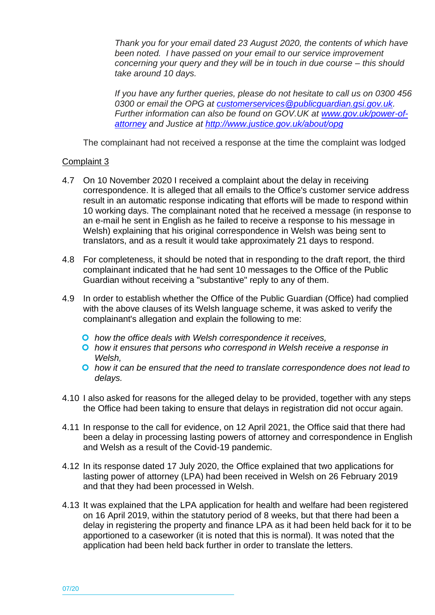*Thank you for your email dated 23 August 2020, the contents of which have been noted. I have passed on your email to our service improvement concerning your query and they will be in touch in due course – this should take around 10 days.*

*If you have any further queries, please do not hesitate to call us on 0300 456 0300 or email the OPG at [customerservices@publicguardian.gsi.gov.uk.](mailto:customerservices@publicguardian.gsi.gov.uk) Further information can also be found on GOV.UK at [www.gov.uk/power-of](https://gbr01.safelinks.protection.outlook.com/?url=http%3A%2F%2Fwww.gov.uk%2Fpower-of-attorney&data=04%7C01%7CDwynwen.Hywel%40cyg-wlc.cymru%7C135dc9b2c2684ba0399d08d8c7bc9c82%7C3d797281d2f14a60a41ac73eb9f7a877%7C0%7C0%7C637478960636118747%7CUnknown%7CTWFpbGZsb3d8eyJWIjoiMC4wLjAwMDAiLCJQIjoiV2luMzIiLCJBTiI6Ik1haWwiLCJXVCI6Mn0%3D%7C1000&sdata=RvkUuGRHq%2BKDKvQg5ejW2kG9DeiuX%2FlfJ4fGVjM0nT8%3D&reserved=0)[attorney](https://gbr01.safelinks.protection.outlook.com/?url=http%3A%2F%2Fwww.gov.uk%2Fpower-of-attorney&data=04%7C01%7CDwynwen.Hywel%40cyg-wlc.cymru%7C135dc9b2c2684ba0399d08d8c7bc9c82%7C3d797281d2f14a60a41ac73eb9f7a877%7C0%7C0%7C637478960636118747%7CUnknown%7CTWFpbGZsb3d8eyJWIjoiMC4wLjAwMDAiLCJQIjoiV2luMzIiLCJBTiI6Ik1haWwiLCJXVCI6Mn0%3D%7C1000&sdata=RvkUuGRHq%2BKDKvQg5ejW2kG9DeiuX%2FlfJ4fGVjM0nT8%3D&reserved=0) and Justice at [http://www.justice.gov.uk/about/opg](https://gbr01.safelinks.protection.outlook.com/?url=http%3A%2F%2Fwww.justice.gov.uk%2Fabout%2Fopg&data=04%7C01%7CDwynwen.Hywel%40cyg-wlc.cymru%7C135dc9b2c2684ba0399d08d8c7bc9c82%7C3d797281d2f14a60a41ac73eb9f7a877%7C0%7C0%7C637478960636123731%7CUnknown%7CTWFpbGZsb3d8eyJWIjoiMC4wLjAwMDAiLCJQIjoiV2luMzIiLCJBTiI6Ik1haWwiLCJXVCI6Mn0%3D%7C1000&sdata=2vqsQlVNooRCweXRVxEG5yUYixrhi0hbzk%2BTUa3V3Fs%3D&reserved=0)*

The complainant had not received a response at the time the complaint was lodged

#### Complaint 3

- 4.7 On 10 November 2020 I received a complaint about the delay in receiving correspondence. It is alleged that all emails to the Office's customer service address result in an automatic response indicating that efforts will be made to respond within 10 working days. The complainant noted that he received a message (in response to an e-mail he sent in English as he failed to receive a response to his message in Welsh) explaining that his original correspondence in Welsh was being sent to translators, and as a result it would take approximately 21 days to respond.
- 4.8 For completeness, it should be noted that in responding to the draft report, the third complainant indicated that he had sent 10 messages to the Office of the Public Guardian without receiving a "substantive" reply to any of them.
- 4.9 In order to establish whether the Office of the Public Guardian (Office) had complied with the above clauses of its Welsh language scheme, it was asked to verify the complainant's allegation and explain the following to me:
	- *how the office deals with Welsh correspondence it receives,*
	- *how it ensures that persons who correspond in Welsh receive a response in Welsh,*
	- *how it can be ensured that the need to translate correspondence does not lead to delays.*
- 4.10 I also asked for reasons for the alleged delay to be provided, together with any steps the Office had been taking to ensure that delays in registration did not occur again.
- 4.11 In response to the call for evidence, on 12 April 2021, the Office said that there had been a delay in processing lasting powers of attorney and correspondence in English and Welsh as a result of the Covid-19 pandemic.
- 4.12 In its response dated 17 July 2020, the Office explained that two applications for lasting power of attorney (LPA) had been received in Welsh on 26 February 2019 and that they had been processed in Welsh.
- 4.13 It was explained that the LPA application for health and welfare had been registered on 16 April 2019, within the statutory period of 8 weeks, but that there had been a delay in registering the property and finance LPA as it had been held back for it to be apportioned to a caseworker (it is noted that this is normal). It was noted that the application had been held back further in order to translate the letters.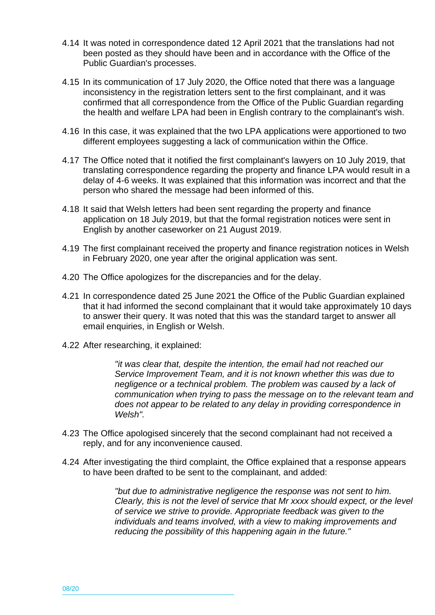- 4.14 It was noted in correspondence dated 12 April 2021 that the translations had not been posted as they should have been and in accordance with the Office of the Public Guardian's processes.
- 4.15 In its communication of 17 July 2020, the Office noted that there was a language inconsistency in the registration letters sent to the first complainant, and it was confirmed that all correspondence from the Office of the Public Guardian regarding the health and welfare LPA had been in English contrary to the complainant's wish.
- 4.16 In this case, it was explained that the two LPA applications were apportioned to two different employees suggesting a lack of communication within the Office.
- 4.17 The Office noted that it notified the first complainant's lawyers on 10 July 2019, that translating correspondence regarding the property and finance LPA would result in a delay of 4-6 weeks. It was explained that this information was incorrect and that the person who shared the message had been informed of this.
- 4.18 It said that Welsh letters had been sent regarding the property and finance application on 18 July 2019, but that the formal registration notices were sent in English by another caseworker on 21 August 2019.
- 4.19 The first complainant received the property and finance registration notices in Welsh in February 2020, one year after the original application was sent.
- 4.20 The Office apologizes for the discrepancies and for the delay.
- 4.21 In correspondence dated 25 June 2021 the Office of the Public Guardian explained that it had informed the second complainant that it would take approximately 10 days to answer their query. It was noted that this was the standard target to answer all email enquiries, in English or Welsh.
- 4.22 After researching, it explained:

*"it was clear that, despite the intention, the email had not reached our Service Improvement Team, and it is not known whether this was due to negligence or a technical problem. The problem was caused by a lack of communication when trying to pass the message on to the relevant team and does not appear to be related to any delay in providing correspondence in Welsh".*

- 4.23 The Office apologised sincerely that the second complainant had not received a reply, and for any inconvenience caused.
- 4.24 After investigating the third complaint, the Office explained that a response appears to have been drafted to be sent to the complainant, and added:

*"but due to administrative negligence the response was not sent to him. Clearly, this is not the level of service that Mr xxxx should expect, or the level of service we strive to provide. Appropriate feedback was given to the individuals and teams involved, with a view to making improvements and reducing the possibility of this happening again in the future."*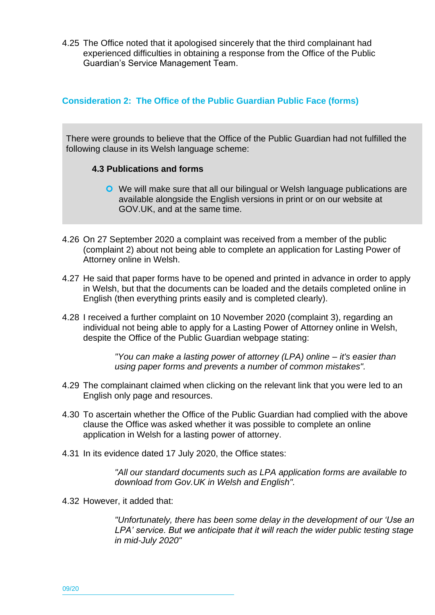4.25 The Office noted that it apologised sincerely that the third complainant had experienced difficulties in obtaining a response from the Office of the Public Guardian's Service Management Team.

#### **Consideration 2: The Office of the Public Guardian Public Face (forms)**

There were grounds to believe that the Office of the Public Guardian had not fulfilled the following clause in its Welsh language scheme:

#### **4.3 Publications and forms**

- We will make sure that all our bilingual or Welsh language publications are available alongside the English versions in print or on our website at GOV.UK, and at the same time.
- 4.26 On 27 September 2020 a complaint was received from a member of the public (complaint 2) about not being able to complete an application for Lasting Power of Attorney online in Welsh.
- 4.27 He said that paper forms have to be opened and printed in advance in order to apply in Welsh, but that the documents can be loaded and the details completed online in English (then everything prints easily and is completed clearly).
- 4.28 I received a further complaint on 10 November 2020 (complaint 3), regarding an individual not being able to apply for a Lasting Power of Attorney online in Welsh, despite the Office of the Public Guardian webpage stating:

*"You can make a lasting power of attorney (LPA) online – it's easier than using paper forms and prevents a number of common mistakes".*

- 4.29 The complainant claimed when clicking on the relevant link that you were led to an English only page and resources.
- 4.30 To ascertain whether the Office of the Public Guardian had complied with the above clause the Office was asked whether it was possible to complete an online application in Welsh for a lasting power of attorney.
- 4.31 In its evidence dated 17 July 2020, the Office states:

*"All our standard documents such as LPA application forms are available to download from Gov.UK in Welsh and English".*

4.32 However, it added that:

*"Unfortunately, there has been some delay in the development of our 'Use an LPA' service. But we anticipate that it will reach the wider public testing stage in mid-July 2020"*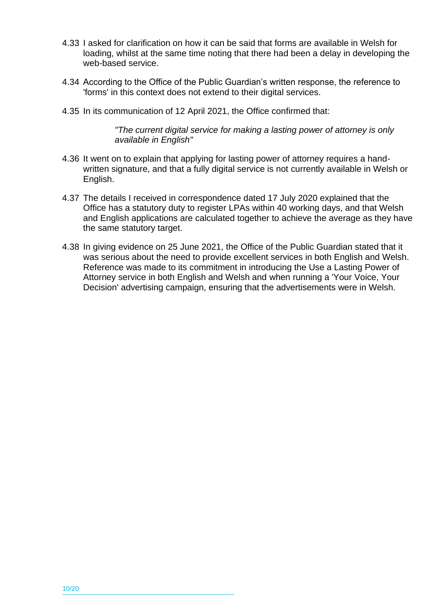- 4.33 I asked for clarification on how it can be said that forms are available in Welsh for loading, whilst at the same time noting that there had been a delay in developing the web-based service.
- 4.34 According to the Office of the Public Guardian's written response, the reference to 'forms' in this context does not extend to their digital services.
- 4.35 In its communication of 12 April 2021, the Office confirmed that:

*"The current digital service for making a lasting power of attorney is only available in English"*

- 4.36 It went on to explain that applying for lasting power of attorney requires a handwritten signature, and that a fully digital service is not currently available in Welsh or English.
- 4.37 The details I received in correspondence dated 17 July 2020 explained that the Office has a statutory duty to register LPAs within 40 working days, and that Welsh and English applications are calculated together to achieve the average as they have the same statutory target.
- 4.38 In giving evidence on 25 June 2021, the Office of the Public Guardian stated that it was serious about the need to provide excellent services in both English and Welsh. Reference was made to its commitment in introducing the Use a Lasting Power of Attorney service in both English and Welsh and when running a 'Your Voice, Your Decision' advertising campaign, ensuring that the advertisements were in Welsh.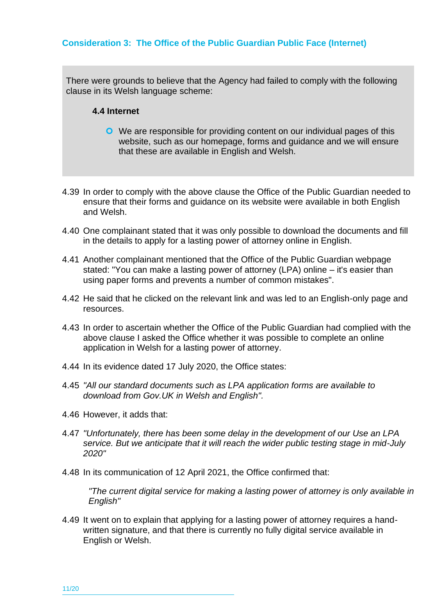#### **Consideration 3: The Office of the Public Guardian Public Face (Internet)**

There were grounds to believe that the Agency had failed to comply with the following clause in its Welsh language scheme:

#### **4.4 Internet**

- We are responsible for providing content on our individual pages of this website, such as our homepage, forms and guidance and we will ensure that these are available in English and Welsh.
- 4.39 In order to comply with the above clause the Office of the Public Guardian needed to ensure that their forms and guidance on its website were available in both English and Welsh.
- 4.40 One complainant stated that it was only possible to download the documents and fill in the details to apply for a lasting power of attorney online in English.
- 4.41 Another complainant mentioned that the Office of the Public Guardian webpage stated: "You can make a lasting power of attorney (LPA) online – it's easier than using paper forms and prevents a number of common mistakes".
- 4.42 He said that he clicked on the relevant link and was led to an English-only page and resources.
- 4.43 In order to ascertain whether the Office of the Public Guardian had complied with the above clause I asked the Office whether it was possible to complete an online application in Welsh for a lasting power of attorney.
- 4.44 In its evidence dated 17 July 2020, the Office states:
- 4.45 *"All our standard documents such as LPA application forms are available to download from Gov.UK in Welsh and English".*
- 4.46 However, it adds that:
- 4.47 *"Unfortunately, there has been some delay in the development of our Use an LPA service. But we anticipate that it will reach the wider public testing stage in mid-July 2020"*
- 4.48 In its communication of 12 April 2021, the Office confirmed that:

*"The current digital service for making a lasting power of attorney is only available in English"*

4.49 It went on to explain that applying for a lasting power of attorney requires a handwritten signature, and that there is currently no fully digital service available in English or Welsh.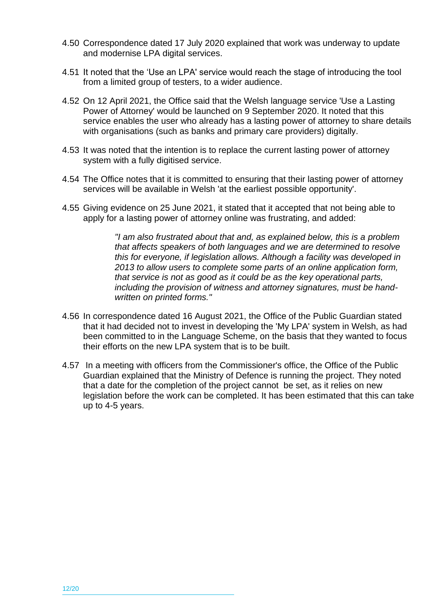- 4.50 Correspondence dated 17 July 2020 explained that work was underway to update and modernise LPA digital services.
- 4.51 It noted that the 'Use an LPA' service would reach the stage of introducing the tool from a limited group of testers, to a wider audience.
- 4.52 On 12 April 2021, the Office said that the Welsh language service 'Use a Lasting Power of Attorney' would be launched on 9 September 2020. It noted that this service enables the user who already has a lasting power of attorney to share details with organisations (such as banks and primary care providers) digitally.
- 4.53 It was noted that the intention is to replace the current lasting power of attorney system with a fully digitised service.
- 4.54 The Office notes that it is committed to ensuring that their lasting power of attorney services will be available in Welsh 'at the earliest possible opportunity'.
- 4.55 Giving evidence on 25 June 2021, it stated that it accepted that not being able to apply for a lasting power of attorney online was frustrating, and added:

*"I am also frustrated about that and, as explained below, this is a problem that affects speakers of both languages and we are determined to resolve this for everyone, if legislation allows. Although a facility was developed in 2013 to allow users to complete some parts of an online application form, that service is not as good as it could be as the key operational parts, including the provision of witness and attorney signatures, must be handwritten on printed forms."*

- 4.56 In correspondence dated 16 August 2021, the Office of the Public Guardian stated that it had decided not to invest in developing the 'My LPA' system in Welsh, as had been committed to in the Language Scheme, on the basis that they wanted to focus their efforts on the new LPA system that is to be built.
- 4.57 In a meeting with officers from the Commissioner's office, the Office of the Public Guardian explained that the Ministry of Defence is running the project. They noted that a date for the completion of the project cannot be set, as it relies on new legislation before the work can be completed. It has been estimated that this can take up to 4-5 years.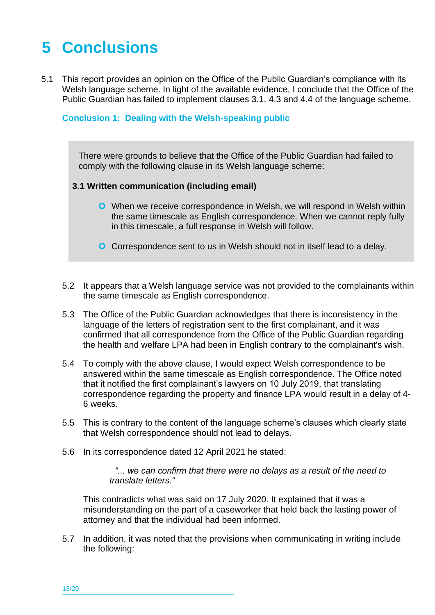### <span id="page-17-0"></span>**5 Conclusions**

5.1 This report provides an opinion on the Office of the Public Guardian's compliance with its Welsh language scheme. In light of the available evidence, I conclude that the Office of the Public Guardian has failed to implement clauses 3.1, 4.3 and 4.4 of the language scheme.

#### **Conclusion 1: Dealing with the Welsh-speaking public**

There were grounds to believe that the Office of the Public Guardian had failed to comply with the following clause in its Welsh language scheme:

#### **3.1 Written communication (including email)**

- **O** When we receive correspondence in Welsh, we will respond in Welsh within the same timescale as English correspondence. When we cannot reply fully in this timescale, a full response in Welsh will follow.
- **O** Correspondence sent to us in Welsh should not in itself lead to a delay.
- 5.2 It appears that a Welsh language service was not provided to the complainants within the same timescale as English correspondence.
- 5.3 The Office of the Public Guardian acknowledges that there is inconsistency in the language of the letters of registration sent to the first complainant, and it was confirmed that all correspondence from the Office of the Public Guardian regarding the health and welfare LPA had been in English contrary to the complainant's wish.
- 5.4 To comply with the above clause, I would expect Welsh correspondence to be answered within the same timescale as English correspondence. The Office noted that it notified the first complainant's lawyers on 10 July 2019, that translating correspondence regarding the property and finance LPA would result in a delay of 4- 6 weeks.
- 5.5 This is contrary to the content of the language scheme's clauses which clearly state that Welsh correspondence should not lead to delays.
- 5.6 In its correspondence dated 12 April 2021 he stated:

*"... we can confirm that there were no delays as a result of the need to translate letters."*

This contradicts what was said on 17 July 2020. It explained that it was a misunderstanding on the part of a caseworker that held back the lasting power of attorney and that the individual had been informed.

5.7 In addition, it was noted that the provisions when communicating in writing include the following: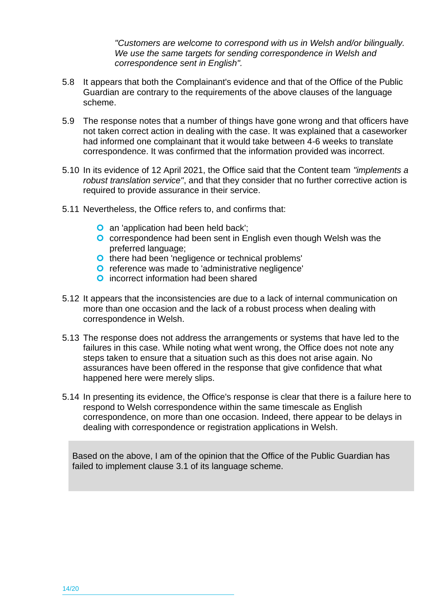*"Customers are welcome to correspond with us in Welsh and/or bilingually. We use the same targets for sending correspondence in Welsh and correspondence sent in English".* 

- 5.8 It appears that both the Complainant's evidence and that of the Office of the Public Guardian are contrary to the requirements of the above clauses of the language scheme.
- 5.9 The response notes that a number of things have gone wrong and that officers have not taken correct action in dealing with the case. It was explained that a caseworker had informed one complainant that it would take between 4-6 weeks to translate correspondence. It was confirmed that the information provided was incorrect.
- 5.10 In its evidence of 12 April 2021, the Office said that the Content team *"implements a robust translation service"*, and that they consider that no further corrective action is required to provide assurance in their service.
- 5.11 Nevertheless, the Office refers to, and confirms that:
	- **O** an 'application had been held back';
	- **O** correspondence had been sent in English even though Welsh was the preferred language;
	- **O** there had been 'negligence or technical problems'
	- **O** reference was made to 'administrative negligence'
	- **O** incorrect information had been shared
- 5.12 It appears that the inconsistencies are due to a lack of internal communication on more than one occasion and the lack of a robust process when dealing with correspondence in Welsh.
- 5.13 The response does not address the arrangements or systems that have led to the failures in this case. While noting what went wrong, the Office does not note any steps taken to ensure that a situation such as this does not arise again. No assurances have been offered in the response that give confidence that what happened here were merely slips.
- 5.14 In presenting its evidence, the Office's response is clear that there is a failure here to respond to Welsh correspondence within the same timescale as English correspondence, on more than one occasion. Indeed, there appear to be delays in dealing with correspondence or registration applications in Welsh.

Based on the above, I am of the opinion that the Office of the Public Guardian has failed to implement clause 3.1 of its language scheme.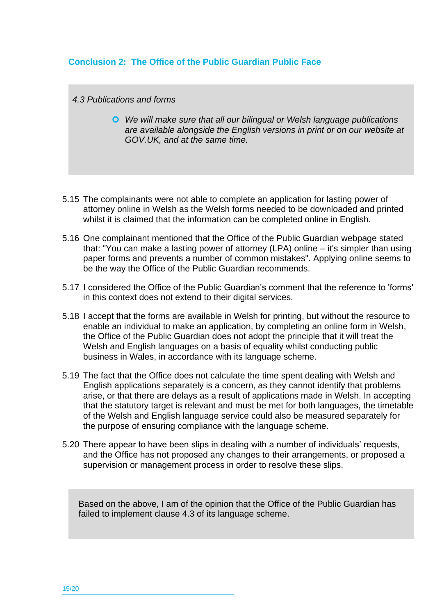#### **Conclusion 2: The Office of the Public Guardian Public Face**

*4.3 Publications and forms*

- *We will make sure that all our bilingual or Welsh language publications are available alongside the English versions in print or on our website at GOV.UK, and at the same time.*
- 5.15 The complainants were not able to complete an application for lasting power of attorney online in Welsh as the Welsh forms needed to be downloaded and printed whilst it is claimed that the information can be completed online in English.
- 5.16 One complainant mentioned that the Office of the Public Guardian webpage stated that: "You can make a lasting power of attorney (LPA) online – it's simpler than using paper forms and prevents a number of common mistakes". Applying online seems to be the way the Office of the Public Guardian recommends.
- 5.17 I considered the Office of the Public Guardian's comment that the reference to 'forms' in this context does not extend to their digital services.
- 5.18 I accept that the forms are available in Welsh for printing, but without the resource to enable an individual to make an application, by completing an online form in Welsh, the Office of the Public Guardian does not adopt the principle that it will treat the Welsh and English languages on a basis of equality whilst conducting public business in Wales, in accordance with its language scheme.
- 5.19 The fact that the Office does not calculate the time spent dealing with Welsh and English applications separately is a concern, as they cannot identify that problems arise, or that there are delays as a result of applications made in Welsh. In accepting that the statutory target is relevant and must be met for both languages, the timetable of the Welsh and English language service could also be measured separately for the purpose of ensuring compliance with the language scheme.
- 5.20 There appear to have been slips in dealing with a number of individuals' requests, and the Office has not proposed any changes to their arrangements, or proposed a supervision or management process in order to resolve these slips.

Based on the above, I am of the opinion that the Office of the Public Guardian has failed to implement clause 4.3 of its language scheme.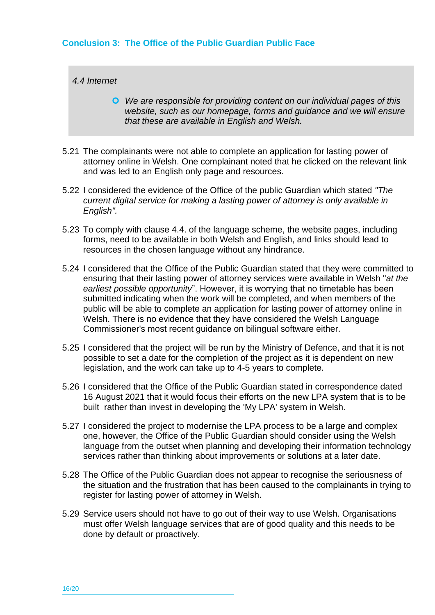#### **Conclusion 3: The Office of the Public Guardian Public Face**

*4.4 Internet*

- *We are responsible for providing content on our individual pages of this website, such as our homepage, forms and guidance and we will ensure that these are available in English and Welsh.*
- 5.21 The complainants were not able to complete an application for lasting power of attorney online in Welsh. One complainant noted that he clicked on the relevant link and was led to an English only page and resources.
- 5.22 I considered the evidence of the Office of the public Guardian which stated *"The current digital service for making a lasting power of attorney is only available in English".*
- 5.23 To comply with clause 4.4. of the language scheme, the website pages, including forms, need to be available in both Welsh and English, and links should lead to resources in the chosen language without any hindrance.
- 5.24 I considered that the Office of the Public Guardian stated that they were committed to ensuring that their lasting power of attorney services were available in Welsh "*at the earliest possible opportunity*". However, it is worrying that no timetable has been submitted indicating when the work will be completed, and when members of the public will be able to complete an application for lasting power of attorney online in Welsh. There is no evidence that they have considered the Welsh Language Commissioner's most recent guidance on bilingual software either.
- 5.25 I considered that the project will be run by the Ministry of Defence, and that it is not possible to set a date for the completion of the project as it is dependent on new legislation, and the work can take up to 4-5 years to complete.
- 5.26 I considered that the Office of the Public Guardian stated in correspondence dated 16 August 2021 that it would focus their efforts on the new LPA system that is to be built rather than invest in developing the 'My LPA' system in Welsh.
- 5.27 I considered the project to modernise the LPA process to be a large and complex one, however, the Office of the Public Guardian should consider using the Welsh language from the outset when planning and developing their information technology services rather than thinking about improvements or solutions at a later date.
- 5.28 The Office of the Public Guardian does not appear to recognise the seriousness of the situation and the frustration that has been caused to the complainants in trying to register for lasting power of attorney in Welsh.
- 5.29 Service users should not have to go out of their way to use Welsh. Organisations must offer Welsh language services that are of good quality and this needs to be done by default or proactively.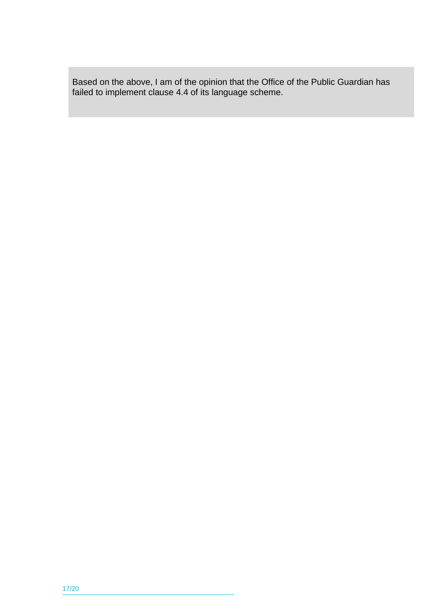Based on the above, I am of the opinion that the Office of the Public Guardian has failed to implement clause 4.4 of its language scheme.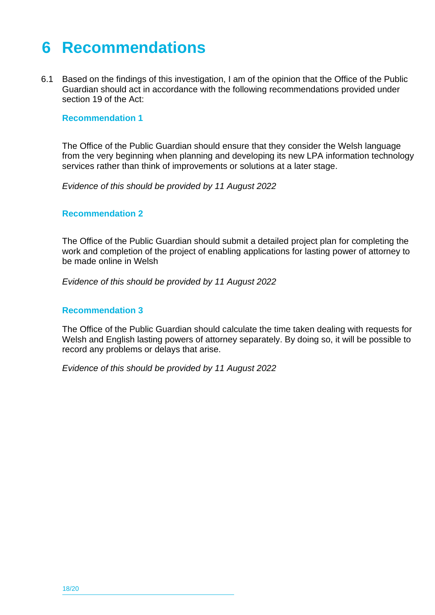### <span id="page-22-0"></span>**6 Recommendations**

6.1 Based on the findings of this investigation, I am of the opinion that the Office of the Public Guardian should act in accordance with the following recommendations provided under section 19 of the Act:

#### **Recommendation 1**

The Office of the Public Guardian should ensure that they consider the Welsh language from the very beginning when planning and developing its new LPA information technology services rather than think of improvements or solutions at a later stage.

*Evidence of this should be provided by 11 August 2022*

#### **Recommendation 2**

The Office of the Public Guardian should submit a detailed project plan for completing the work and completion of the project of enabling applications for lasting power of attorney to be made online in Welsh

*Evidence of this should be provided by 11 August 2022*

#### **Recommendation 3**

The Office of the Public Guardian should calculate the time taken dealing with requests for Welsh and English lasting powers of attorney separately. By doing so, it will be possible to record any problems or delays that arise.

*Evidence of this should be provided by 11 August 2022*